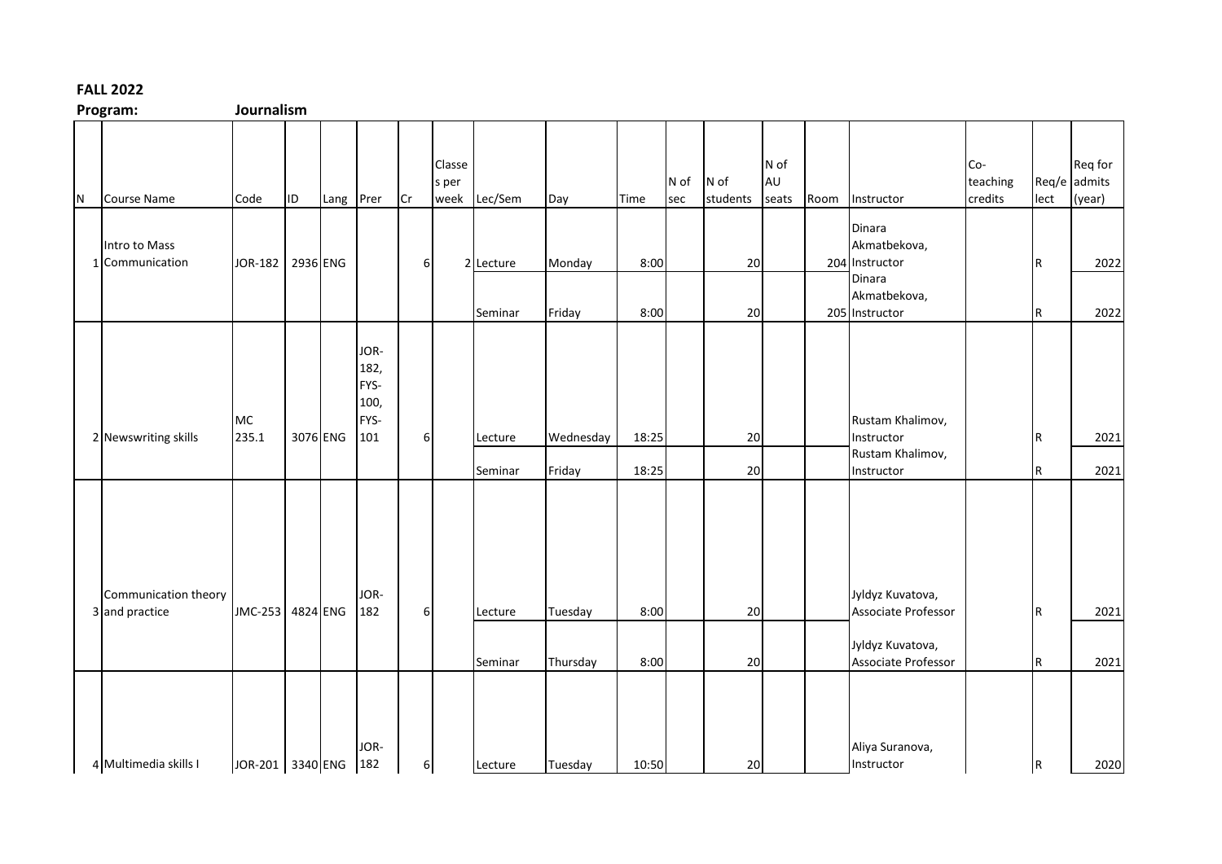## **FALL 2022**

**Program: Journalism**

|     | r i uglalli.                           | <b>JUULITAIISIII</b> |          |           |                                             |          |                 |              |           |       |             |                  |                     |      |                                                    |                            |      |                                   |
|-----|----------------------------------------|----------------------|----------|-----------|---------------------------------------------|----------|-----------------|--------------|-----------|-------|-------------|------------------|---------------------|------|----------------------------------------------------|----------------------------|------|-----------------------------------|
| IN. | <b>Course Name</b>                     | Code                 | ID.      | Lang Prer |                                             | lCr      | Classe<br>s per | week Lec/Sem | Day       | Time  | N of<br>sec | N of<br>students | N of<br>AU<br>seats | Room | Instructor                                         | Co-<br>teaching<br>credits | lect | Req for<br>Req/e admits<br>(year) |
|     | Intro to Mass<br>1 Communication       | JOR-182 2936 ENG     |          |           |                                             | 6        |                 | 2 Lecture    | Monday    | 8:00  |             | 20               |                     |      | Dinara<br>Akmatbekova,<br>204 Instructor<br>Dinara |                            | IR.  | 2022                              |
|     |                                        |                      |          |           |                                             |          |                 | Seminar      | Friday    | 8:00  |             | 20               |                     |      | Akmatbekova,<br>205 Instructor                     |                            | IR.  | 2022                              |
|     | 2 Newswriting skills                   | MC<br>235.1          | 3076 ENG |           | JOR-<br>182,<br>FYS-<br>100,<br>FYS-<br>101 | 6        |                 | Lecture      | Wednesday | 18:25 |             | 20               |                     |      | Rustam Khalimov,<br>Instructor                     |                            | IR.  | 2021                              |
|     |                                        |                      |          |           |                                             |          |                 | Seminar      | Friday    | 18:25 |             | 20               |                     |      | Rustam Khalimov,<br>Instructor                     |                            | IR.  | 2021                              |
|     | Communication theory<br>3 and practice | JMC-253 4824 ENG     |          |           | JOR-<br>182                                 | 6        |                 | Lecture      | Tuesday   | 8:00  |             | 20               |                     |      | Jyldyz Kuvatova,<br>Associate Professor            |                            | IR.  | 2021                              |
|     |                                        |                      |          |           |                                             |          |                 | Seminar      | Thursday  | 8:00  |             | 20               |                     |      | Jyldyz Kuvatova,<br>Associate Professor            |                            | IR.  | 2021                              |
|     | 4 Multimedia skills I                  | JOR-201 3340 ENG 182 |          |           | JOR-                                        | $6 \mid$ |                 | Lecture      | Tuesday   | 10:50 |             | 20               |                     |      | Aliya Suranova,<br>Instructor                      |                            | R    | 2020                              |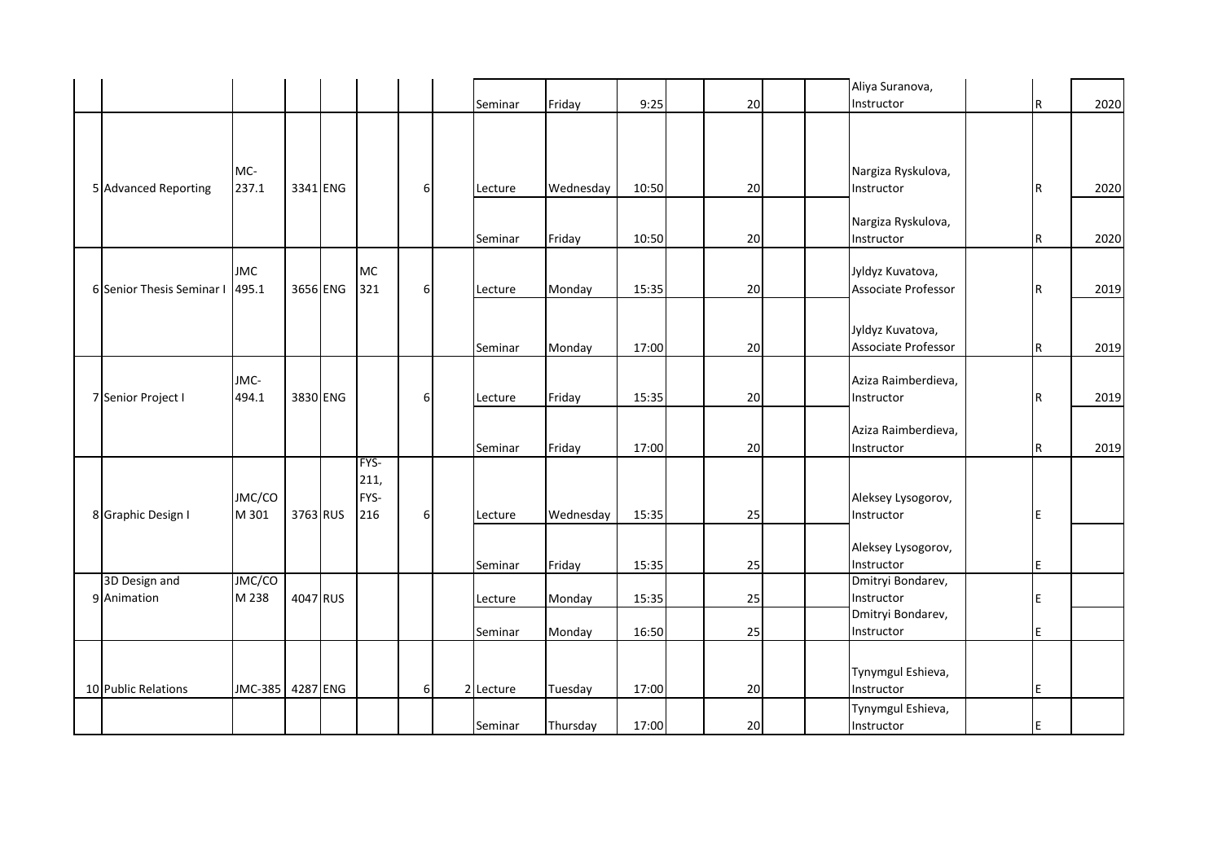|                              |                     |          |                             |   |           |           |       |    |  | Aliya Suranova,                         |     |      |
|------------------------------|---------------------|----------|-----------------------------|---|-----------|-----------|-------|----|--|-----------------------------------------|-----|------|
|                              |                     |          |                             |   | Seminar   | Friday    | 9:25  | 20 |  | Instructor                              | IR. | 2020 |
|                              |                     |          |                             |   |           |           |       |    |  |                                         |     |      |
| 5 Advanced Reporting         | MC-<br>237.1        | 3341 ENG |                             | 6 | Lecture   | Wednesday | 10:50 | 20 |  | Nargiza Ryskulova,<br>Instructor        | R   | 2020 |
|                              |                     |          |                             |   | Seminar   | Friday    | 10:50 | 20 |  | Nargiza Ryskulova,<br>Instructor        | IR. | 2020 |
| 6 Senior Thesis Seminar I    | <b>JMC</b><br>495.1 | 3656 ENG | <b>MC</b><br>321            | 6 | Lecture   | Monday    | 15:35 | 20 |  | Jyldyz Kuvatova,<br>Associate Professor | R   | 2019 |
|                              |                     |          |                             |   | Seminar   | Monday    | 17:00 | 20 |  | Jyldyz Kuvatova,<br>Associate Professor | IR. | 2019 |
| 7 Senior Project I           | JMC-<br>494.1       | 3830 ENG |                             | 6 | Lecture   | Friday    | 15:35 | 20 |  | Aziza Raimberdieva,<br>Instructor       | IR. | 2019 |
|                              |                     |          |                             |   | Seminar   | Friday    | 17:00 | 20 |  | Aziza Raimberdieva,<br>Instructor       | IR. | 2019 |
| 8 Graphic Design I           | JMC/CO<br>M 301     | 3763 RUS | FYS-<br>211,<br>FYS-<br>216 | 6 | Lecture   | Wednesday | 15:35 | 25 |  | Aleksey Lysogorov,<br>Instructor        | E   |      |
|                              |                     |          |                             |   | Seminar   | Friday    | 15:35 | 25 |  | Aleksey Lysogorov,<br>Instructor        | E   |      |
| 3D Design and<br>9 Animation | JMC/CO<br>M 238     | 4047 RUS |                             |   | Lecture   | Monday    | 15:35 | 25 |  | Dmitryi Bondarev,<br>Instructor         | E   |      |
|                              |                     |          |                             |   | Seminar   | Monday    | 16:50 | 25 |  | Dmitryi Bondarev,<br>Instructor         | E   |      |
| 10 Public Relations          | JMC-385 4287 ENG    |          |                             | 6 | 2 Lecture | Tuesday   | 17:00 | 20 |  | Tynymgul Eshieva,<br>Instructor         | IE. |      |
|                              |                     |          |                             |   | Seminar   | Thursday  | 17:00 | 20 |  | Tynymgul Eshieva,<br>Instructor         |     |      |